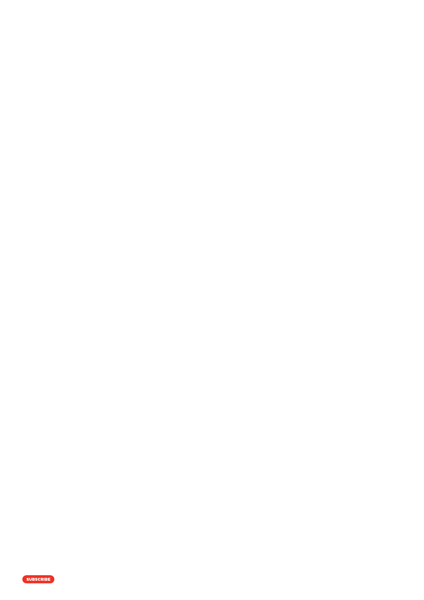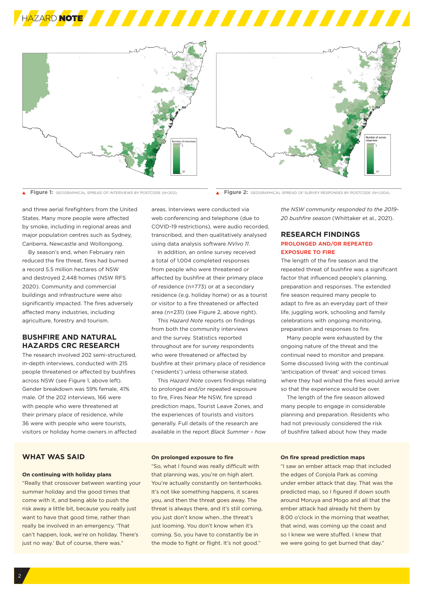





Ä

**Figure 1:** GEOGRAPHICAL SPREAD OF INTERVIEWS BY POSTCODE (N=202). **Figure 2:** GEOGRAPHICAL SPREAD OF SURVEY RESPONSES BY POSTCODE (N=1,004).

and three aerial firefighters from the United States. Many more people were affected by smoke, including in regional areas and major population centres such as Sydney, Canberra, Newcastle and Wollongong.

By season's end, when February rain reduced the fire threat, fires had burned a record 5.5 million hectares of NSW and destroyed 2,448 homes (NSW RFS 2020). Community and commercial buildings and infrastructure were also significantly impacted. The fires adversely affected many industries, including agriculture, forestry and tourism.

# **BUSHFIRE AND NATURAL HAZARDS CRC RESEARCH**

The research involved 202 semi-structured, in-depth interviews, conducted with 215 people threatened or affected by bushfires across NSW (see Figure 1, above left). Gender breakdown was 59% female, 41% male. Of the 202 interviews, 166 were with people who were threatened at their primary place of residence, while 36 were with people who were tourists, visitors or holiday home owners in affected

# **WHAT WAS SAID**

### **On continuing with holiday plans**

"Really that crossover between wanting your summer holiday and the good times that come with it, and being able to push the risk away a little bit, because you really just want to have that good time, rather than really be involved in an emergency. 'That can't happen, look, we're on holiday. There's just no way.' But of course, there was."

areas. Interviews were conducted via web conferencing and telephone (due to COVID-19 restrictions), were audio recorded, transcribed, and then qualitatively analysed using data analysis software *NVivo 11*.

In addition, an online survey received a total of 1,004 completed responses from people who were threatened or affected by bushfire at their primary place of residence (n=773) or at a secondary residence (e.g. holiday home) or as a tourist or visitor to a fire threatened or affected area (n=231) (see Figure 2, above right).

This *Hazard Note* reports on findings from both the community interviews and the survey. Statistics reported throughout are for survey respondents who were threatened or affected by bushfire at their primary place of residence ('residents') unless otherwise stated.

This *Hazard Note* covers findings relating to prolonged and/or repeated exposure to fire, Fires Near Me NSW, fire spread prediction maps, Tourist Leave Zones, and the experiences of tourists and visitors generally. Full details of the research are available in the report *Black Summer – how* 

### **On prolonged exposure to fire**

"So, what I found was really difficult with that planning was, you're on high alert. You're actually constantly on tenterhooks. It's not like something happens, it scares you, and then the threat goes away. The threat is always there, and it's still coming, you just don't know when…the threat's just looming. You don't know when it's coming. So, you have to constantly be in the mode to fight or flight. It's not good."

*the NSW community responded to the 2019- 20 bushfire season* (Whittaker et al., 2021).

# **RESEARCH FINDINGS PROLONGED AND/OR REPEATED EXPOSURE TO FIRE**

The length of the fire season and the repeated threat of bushfire was a significant factor that influenced people's planning, preparation and responses. The extended fire season required many people to adapt to fire as an everyday part of their life, juggling work, schooling and family celebrations with ongoing monitoring, preparation and responses to fire.

Many people were exhausted by the ongoing nature of the threat and the continual need to monitor and prepare. Some discussed living with the continual 'anticipation of threat' and voiced times where they had wished the fires would arrive so that the experience would be over.

The length of the fire season allowed many people to engage in considerable planning and preparation. Residents who had not previously considered the risk of bushfire talked about how they made

### **On fire spread prediction maps**

"I saw an ember attack map that included the edges of Conjola Park as coming under ember attack that day. That was the predicted map, so I figured if down south around Moruya and Mogo and all that the ember attack had already hit them by 8:00 o'clock in the morning that weather, that wind, was coming up the coast and so I knew we were stuffed. I knew that we were going to get burned that day."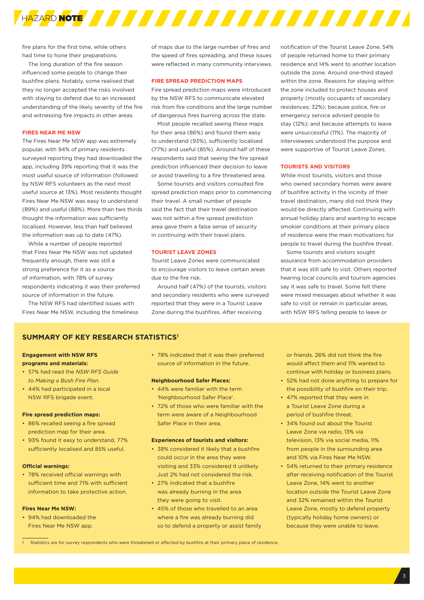

fire plans for the first time, while others had time to hone their preparations.

The long duration of the fire season influenced some people to change their bushfire plans. Notably, some realised that they no longer accepted the risks involved with staying to defend due to an increased understanding of the likely severity of the fire and witnessing fire impacts in other areas.

### **FIRES NEAR ME NSW**

The Fires Near Me NSW app was extremely popular, with 94% of primary residents surveyed reporting they had downloaded the app, including 39% reporting that it was the most useful source of information (followed by NSW RFS volunteers as the next most useful source at 13%). Most residents thought Fires Near Me NSW was easy to understand (89%) and useful (88%). More than two thirds thought the information was sufficiently localised. However, less than half believed the information was up to date (47%).

While a number of people reported that Fires Near Me NSW was not updated frequently enough, there was still a strong preference for it as a source of information, with 78% of survey respondents indicating it was their preferred source of information in the future.

The NSW RFS had identified issues with Fires Near Me NSW, including the timeliness of maps due to the large number of fires and the speed of fires spreading, and these issues were reflected in many community interviews.

### **FIRE SPREAD PREDICTION MAPS**

Fire spread prediction maps were introduced by the NSW RFS to communicate elevated risk from fire conditions and the large number of dangerous fires burning across the state.

Most people recalled seeing these maps for their area (86%) and found them easy to understand (93%), sufficiently localised (77%) and useful (85%). Around half of these respondents said that seeing the fire spread prediction influenced their decision to leave or avoid travelling to a fire threatened area.

Some tourists and visitors consulted fire spread prediction maps prior to commencing their travel. A small number of people said the fact that their travel destination was not within a fire spread prediction area gave them a false sense of security in continuing with their travel plans.

### **TOURIST LEAVE ZONES**

Tourist Leave Zones were communicated to encourage visitors to leave certain areas due to the fire risk.

Around half (47%) of the tourists, visitors and secondary residents who were surveyed reported that they were in a Tourist Leave Zone during the bushfires. After receiving

notification of the Tourist Leave Zone, 54% of people returned home to their primary residence and 14% went to another location outside the zone. Around one-third stayed within the zone. Reasons for staying within the zone included to protect houses and property (mostly occupants of secondary residences; 32%); because police, fire or emergency service advised people to stay (12%); and because attempts to leave were unsuccessful (11%). The majority of interviewees understood the purpose and were supportive of Tourist Leave Zones.

### **TOURISTS AND VISITORS**

While most tourists, visitors and those who owned secondary homes were aware of bushfire activity in the vicinity of their travel destination, many did not think they would be directly affected. Continuing with annual holiday plans and wanting to escape smokier conditions at their primary place of residence were the main motivations for people to travel during the bushfire threat.

Some tourists and visitors sought assurance from accommodation providers that it was still safe to visit. Others reported hearing local councils and tourism agencies say it was safe to travel. Some felt there were mixed messages about whether it was safe to visit or remain in particular areas, with NSW RFS telling people to leave or

## **SUMMARY OF KEY RESEARCH STATISTICS1**

### **Engagement with NSW RFS programs and materials:**

- 57% had read the *NSW RFS Guide to Making a Bush Fire Plan*.
- 44% had participated in a local NSW RFS brigade event.

#### **Fire spread prediction maps:**

- 86% recalled seeing a fire spread prediction map for their area.
- 93% found it easy to understand, 77% sufficiently localised and 85% useful.

### **Official warnings:**

• 78% received official warnings with sufficient time and 71% with sufficient information to take protective action.

### **Fires Near Me NSW:**

• 94% had downloaded the Fires Near Me NSW app.

• 78% indicated that it was their preferred source of information in the future.

### **Neighbourhood Safer Places:**

- 44% were familiar with the term 'Neighbourhood Safer Place'.
- 72% of those who were familiar with the term were aware of a Neighbourhood Safer Place in their area.

### **Experiences of tourists and visitors:**

- 38% considered it likely that a bushfire could occur in the area they were visiting and 33% considered it unlikely. Just 2% had not considered the risk.
- 27% indicated that a bushfire was already burning in the area they were going to visit.
- 45% of those who travelled to an area where a fire was already burning did so to defend a property or assist family

or friends. 26% did not think the fire would affect them and 11% wanted to continue with holiday or business plans.

- 52% had not done anything to prepare for the possibility of bushfire on their trip.
- 47% reported that they were in a Tourist Leave Zone during a period of bushfire threat.
- 34% found out about the Tourist Leave Zone via radio, 13% via television, 13% via social media, 11% from people in the surrounding area and 10% via Fires Near Me NSW.
- 54% returned to their primary residence after receiving notification of the Tourist Leave Zone, 14% went to another location outside the Tourist Leave Zone and 32% remained within the Tourist Leave Zone, mostly to defend property (typically holiday home owners) or because they were unable to leave.

Statistics are for survey respondents who were threatened or affected by bushfire at their primary place of residence.